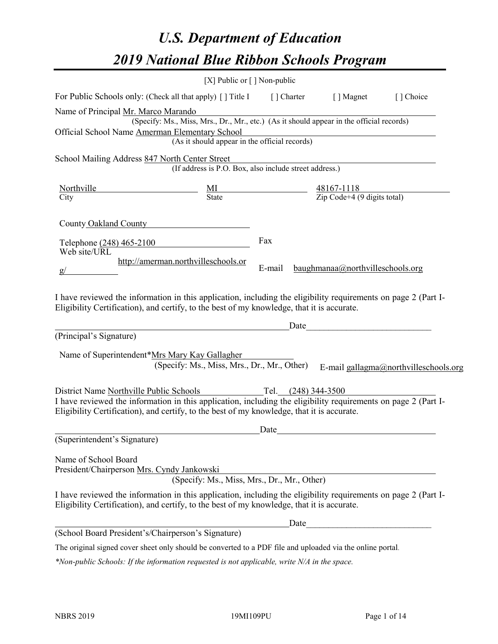# *U.S. Department of Education 2019 National Blue Ribbon Schools Program*

|                                                                                                                                                                                                              | [X] Public or $\lceil$ ] Non-public                                                      |                       |                                                         |                                       |
|--------------------------------------------------------------------------------------------------------------------------------------------------------------------------------------------------------------|------------------------------------------------------------------------------------------|-----------------------|---------------------------------------------------------|---------------------------------------|
| For Public Schools only: (Check all that apply) [] Title I                                                                                                                                                   |                                                                                          | [] Charter [] Magnet  |                                                         | [] Choice                             |
| Name of Principal Mr. Marco Marando<br>Official School Name Amerman Elementary School                                                                                                                        | (Specify: Ms., Miss, Mrs., Dr., Mr., etc.) (As it should appear in the official records) |                       |                                                         |                                       |
|                                                                                                                                                                                                              | (As it should appear in the official records)                                            |                       |                                                         |                                       |
| School Mailing Address 847 North Center Street                                                                                                                                                               | (If address is P.O. Box, also include street address.)                                   |                       |                                                         |                                       |
| Northville<br>City                                                                                                                                                                                           | $\frac{MI}{State}$                                                                       |                       | $\frac{48167-1118}{\text{Zip Code}+4 (9 digits total)}$ |                                       |
| County Oakland County                                                                                                                                                                                        |                                                                                          |                       |                                                         |                                       |
| Telephone (248) 465-2100                                                                                                                                                                                     |                                                                                          | Fax                   |                                                         |                                       |
| Web site/URL<br>http://amerman.northvilleschools.or                                                                                                                                                          |                                                                                          | E-mail                | baughmanaa@northvilleschools.org                        |                                       |
| I have reviewed the information in this application, including the eligibility requirements on page 2 (Part I-<br>Eligibility Certification), and certify, to the best of my knowledge, that it is accurate. |                                                                                          |                       |                                                         |                                       |
| (Principal's Signature)                                                                                                                                                                                      |                                                                                          | Date                  |                                                         |                                       |
| Name of Superintendent*Mrs Mary Kay Gallagher<br>District Name Northville Public Schools<br>I have reviewed the information in this application, including the eligibility requirements on page 2 (Part I-   | (Specify: Ms., Miss, Mrs., Dr., Mr., Other)                                              | Tel. $(248)$ 344-3500 |                                                         | E-mail gallagma@northvilleschools.org |
| Eligibility Certification), and certify, to the best of my knowledge, that it is accurate.                                                                                                                   |                                                                                          |                       |                                                         |                                       |
|                                                                                                                                                                                                              |                                                                                          | Date                  |                                                         |                                       |
| (Superintendent's Signature)                                                                                                                                                                                 |                                                                                          |                       |                                                         |                                       |
| Name of School Board<br>President/Chairperson Mrs. Cyndy Jankowski                                                                                                                                           | (Specify: Ms., Miss, Mrs., Dr., Mr., Other)                                              |                       |                                                         |                                       |
| I have reviewed the information in this application, including the eligibility requirements on page 2 (Part I-<br>Eligibility Certification), and certify, to the best of my knowledge, that it is accurate. |                                                                                          |                       |                                                         |                                       |
|                                                                                                                                                                                                              |                                                                                          | Date                  |                                                         |                                       |
| (School Board President's/Chairperson's Signature)                                                                                                                                                           |                                                                                          |                       |                                                         |                                       |
| The original signed cover sheet only should be converted to a PDF file and uploaded via the online portal.                                                                                                   |                                                                                          |                       |                                                         |                                       |

*\*Non-public Schools: If the information requested is not applicable, write N/A in the space.*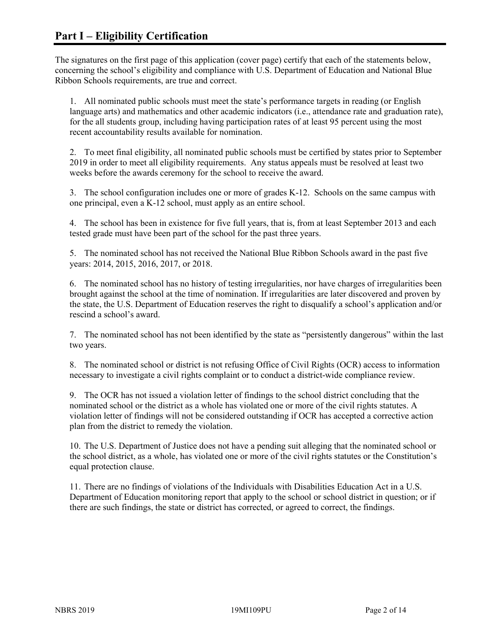The signatures on the first page of this application (cover page) certify that each of the statements below, concerning the school's eligibility and compliance with U.S. Department of Education and National Blue Ribbon Schools requirements, are true and correct.

1. All nominated public schools must meet the state's performance targets in reading (or English language arts) and mathematics and other academic indicators (i.e., attendance rate and graduation rate), for the all students group, including having participation rates of at least 95 percent using the most recent accountability results available for nomination.

2. To meet final eligibility, all nominated public schools must be certified by states prior to September 2019 in order to meet all eligibility requirements. Any status appeals must be resolved at least two weeks before the awards ceremony for the school to receive the award.

3. The school configuration includes one or more of grades K-12. Schools on the same campus with one principal, even a K-12 school, must apply as an entire school.

4. The school has been in existence for five full years, that is, from at least September 2013 and each tested grade must have been part of the school for the past three years.

5. The nominated school has not received the National Blue Ribbon Schools award in the past five years: 2014, 2015, 2016, 2017, or 2018.

6. The nominated school has no history of testing irregularities, nor have charges of irregularities been brought against the school at the time of nomination. If irregularities are later discovered and proven by the state, the U.S. Department of Education reserves the right to disqualify a school's application and/or rescind a school's award.

7. The nominated school has not been identified by the state as "persistently dangerous" within the last two years.

8. The nominated school or district is not refusing Office of Civil Rights (OCR) access to information necessary to investigate a civil rights complaint or to conduct a district-wide compliance review.

9. The OCR has not issued a violation letter of findings to the school district concluding that the nominated school or the district as a whole has violated one or more of the civil rights statutes. A violation letter of findings will not be considered outstanding if OCR has accepted a corrective action plan from the district to remedy the violation.

10. The U.S. Department of Justice does not have a pending suit alleging that the nominated school or the school district, as a whole, has violated one or more of the civil rights statutes or the Constitution's equal protection clause.

11. There are no findings of violations of the Individuals with Disabilities Education Act in a U.S. Department of Education monitoring report that apply to the school or school district in question; or if there are such findings, the state or district has corrected, or agreed to correct, the findings.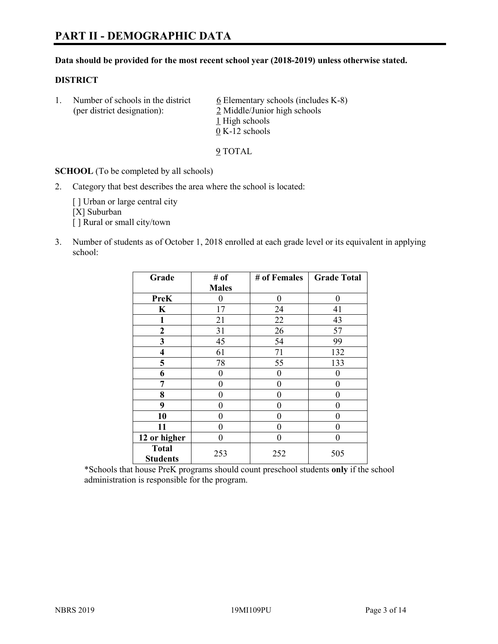#### **Data should be provided for the most recent school year (2018-2019) unless otherwise stated.**

#### **DISTRICT**

1. Number of schools in the district  $6$  Elementary schools (includes K-8) (per district designation): 2 Middle/Junior high schools 1 High schools 0 K-12 schools

9 TOTAL

**SCHOOL** (To be completed by all schools)

2. Category that best describes the area where the school is located:

[ ] Urban or large central city [X] Suburban [] Rural or small city/town

3. Number of students as of October 1, 2018 enrolled at each grade level or its equivalent in applying school:

| Grade                           | # of         | # of Females | <b>Grade Total</b> |
|---------------------------------|--------------|--------------|--------------------|
|                                 | <b>Males</b> |              |                    |
| <b>PreK</b>                     | 0            | $\theta$     | 0                  |
| $\mathbf K$                     | 17           | 24           | 41                 |
| 1                               | 21           | 22           | 43                 |
| $\mathbf{2}$                    | 31           | 26           | 57                 |
| 3                               | 45           | 54           | 99                 |
| $\overline{\mathbf{4}}$         | 61           | 71           | 132                |
| 5                               | 78           | 55           | 133                |
| 6                               | 0            | $\theta$     | 0                  |
| 7                               | 0            | $\theta$     | 0                  |
| 8                               | 0            | $\theta$     | 0                  |
| 9                               | 0            | $\theta$     | 0                  |
| 10                              | 0            | $\theta$     | 0                  |
| 11                              | 0            | 0            | 0                  |
| 12 or higher                    | 0            | $\theta$     | 0                  |
| <b>Total</b><br><b>Students</b> | 253          | 252          | 505                |

\*Schools that house PreK programs should count preschool students **only** if the school administration is responsible for the program.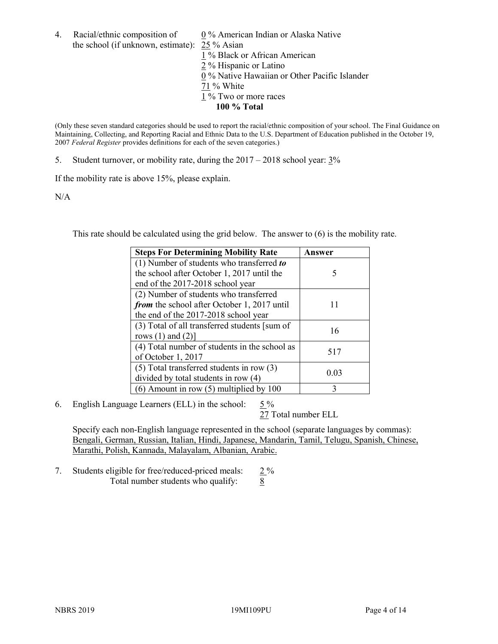4. Racial/ethnic composition of  $0\%$  American Indian or Alaska Native the school (if unknown, estimate): 25 % Asian

1 % Black or African American  $\frac{2}{2}$ % Hispanic or Latino 0 % Native Hawaiian or Other Pacific Islander 71 % White 1 % Two or more races **100 % Total**

(Only these seven standard categories should be used to report the racial/ethnic composition of your school. The Final Guidance on Maintaining, Collecting, and Reporting Racial and Ethnic Data to the U.S. Department of Education published in the October 19, 2007 *Federal Register* provides definitions for each of the seven categories.)

5. Student turnover, or mobility rate, during the 2017 – 2018 school year: 3%

If the mobility rate is above 15%, please explain.

N/A

This rate should be calculated using the grid below. The answer to (6) is the mobility rate.

| <b>Steps For Determining Mobility Rate</b>    | Answer |
|-----------------------------------------------|--------|
| (1) Number of students who transferred to     |        |
| the school after October 1, 2017 until the    | 5      |
| end of the 2017-2018 school year              |        |
| (2) Number of students who transferred        |        |
| from the school after October 1, 2017 until   | 11     |
| the end of the 2017-2018 school year          |        |
| (3) Total of all transferred students [sum of | 16     |
| rows $(1)$ and $(2)$ ]                        |        |
| (4) Total number of students in the school as |        |
| of October 1, 2017                            | 517    |
| $(5)$ Total transferred students in row $(3)$ |        |
| divided by total students in row (4)          | 0.03   |
| (6) Amount in row (5) multiplied by 100       | 3      |

6. English Language Learners (ELL) in the school:  $5\%$ 

27 Total number ELL

Specify each non-English language represented in the school (separate languages by commas): Bengali, German, Russian, Italian, Hindi, Japanese, Mandarin, Tamil, Telugu, Spanish, Chinese, Marathi, Polish, Kannada, Malayalam, Albanian, Arabic.

7. Students eligible for free/reduced-priced meals: 2 % Total number students who qualify: 8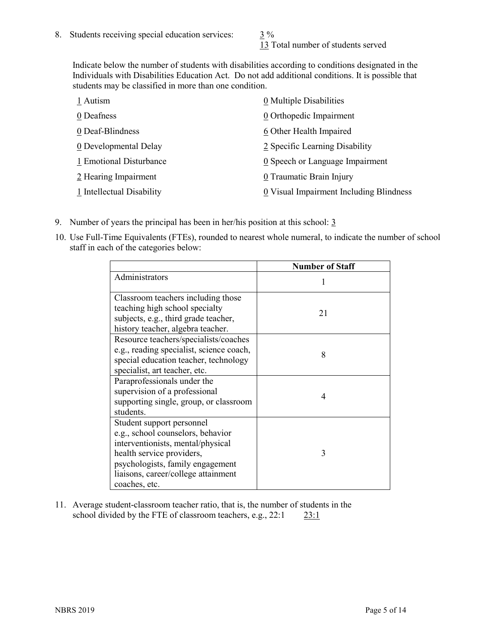13 Total number of students served

Indicate below the number of students with disabilities according to conditions designated in the Individuals with Disabilities Education Act. Do not add additional conditions. It is possible that students may be classified in more than one condition.

| 1 Autism                  | 0 Multiple Disabilities                       |
|---------------------------|-----------------------------------------------|
| 0 Deafness                | 0 Orthopedic Impairment                       |
| 0 Deaf-Blindness          | 6 Other Health Impaired                       |
| 0 Developmental Delay     | 2 Specific Learning Disability                |
| 1 Emotional Disturbance   | $\underline{0}$ Speech or Language Impairment |
| 2 Hearing Impairment      | 0 Traumatic Brain Injury                      |
| 1 Intellectual Disability | 0 Visual Impairment Including Blindness       |

- 9. Number of years the principal has been in her/his position at this school:  $\frac{3}{5}$
- 10. Use Full-Time Equivalents (FTEs), rounded to nearest whole numeral, to indicate the number of school staff in each of the categories below:

|                                                                                                                                                                                                                              | <b>Number of Staff</b> |
|------------------------------------------------------------------------------------------------------------------------------------------------------------------------------------------------------------------------------|------------------------|
| Administrators                                                                                                                                                                                                               |                        |
| Classroom teachers including those<br>teaching high school specialty<br>subjects, e.g., third grade teacher,<br>history teacher, algebra teacher.                                                                            | 21                     |
| Resource teachers/specialists/coaches<br>e.g., reading specialist, science coach,<br>special education teacher, technology<br>specialist, art teacher, etc.                                                                  | 8                      |
| Paraprofessionals under the<br>supervision of a professional<br>supporting single, group, or classroom<br>students.                                                                                                          | 4                      |
| Student support personnel<br>e.g., school counselors, behavior<br>interventionists, mental/physical<br>health service providers,<br>psychologists, family engagement<br>liaisons, career/college attainment<br>coaches, etc. | 3                      |

11. Average student-classroom teacher ratio, that is, the number of students in the school divided by the FTE of classroom teachers, e.g., 22:1 23:1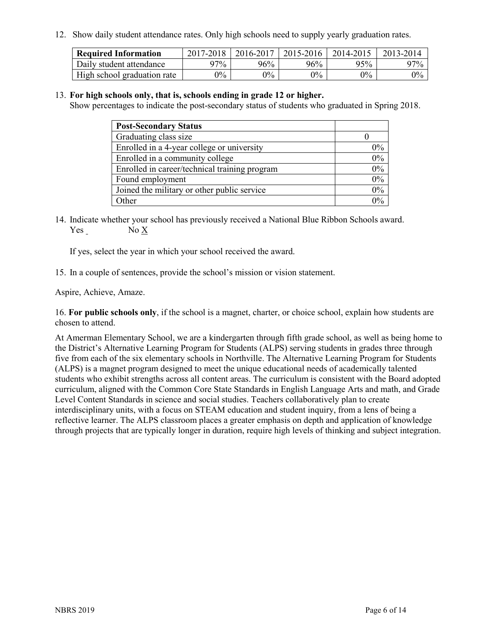12. Show daily student attendance rates. Only high schools need to supply yearly graduation rates.

| <b>Required Information</b> | 2017-2018 | 2016-2017 | 2015-2016 | 2014-2015 | 2013-2014 |
|-----------------------------|-----------|-----------|-----------|-----------|-----------|
| Daily student attendance    | 97%       | 96%       | 96%       | 95%       | 97%       |
| High school graduation rate | $0\%$     | $0\%$     | $0\%$     | $9\%$     | $0\%$     |

#### 13. **For high schools only, that is, schools ending in grade 12 or higher.**

Show percentages to indicate the post-secondary status of students who graduated in Spring 2018.

| <b>Post-Secondary Status</b>                  |           |
|-----------------------------------------------|-----------|
| Graduating class size                         |           |
| Enrolled in a 4-year college or university    | $0\%$     |
| Enrolled in a community college               | 0%        |
| Enrolled in career/technical training program | $0\%$     |
| Found employment                              | 0%        |
| Joined the military or other public service   | 0%        |
| Other                                         | በዓ $\sim$ |

14. Indicate whether your school has previously received a National Blue Ribbon Schools award. Yes No X

If yes, select the year in which your school received the award.

15. In a couple of sentences, provide the school's mission or vision statement.

Aspire, Achieve, Amaze.

16. **For public schools only**, if the school is a magnet, charter, or choice school, explain how students are chosen to attend.

At Amerman Elementary School, we are a kindergarten through fifth grade school, as well as being home to the District's Alternative Learning Program for Students (ALPS) serving students in grades three through five from each of the six elementary schools in Northville. The Alternative Learning Program for Students (ALPS) is a magnet program designed to meet the unique educational needs of academically talented students who exhibit strengths across all content areas. The curriculum is consistent with the Board adopted curriculum, aligned with the Common Core State Standards in English Language Arts and math, and Grade Level Content Standards in science and social studies. Teachers collaboratively plan to create interdisciplinary units, with a focus on STEAM education and student inquiry, from a lens of being a reflective learner. The ALPS classroom places a greater emphasis on depth and application of knowledge through projects that are typically longer in duration, require high levels of thinking and subject integration.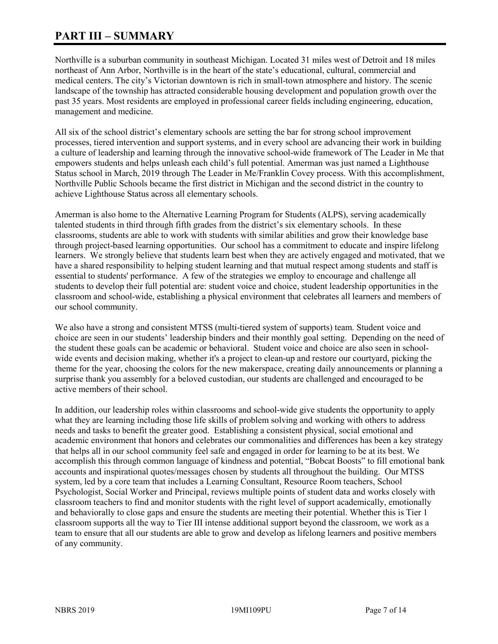# **PART III – SUMMARY**

Northville is a suburban community in southeast Michigan. Located 31 miles west of Detroit and 18 miles northeast of Ann Arbor, Northville is in the heart of the state's educational, cultural, commercial and medical centers. The city's Victorian downtown is rich in small-town atmosphere and history. The scenic landscape of the township has attracted considerable housing development and population growth over the past 35 years. Most residents are employed in professional career fields including engineering, education, management and medicine.

All six of the school district's elementary schools are setting the bar for strong school improvement processes, tiered intervention and support systems, and in every school are advancing their work in building a culture of leadership and learning through the innovative school-wide framework of The Leader in Me that empowers students and helps unleash each child's full potential. Amerman was just named a Lighthouse Status school in March, 2019 through The Leader in Me/Franklin Covey process. With this accomplishment, Northville Public Schools became the first district in Michigan and the second district in the country to achieve Lighthouse Status across all elementary schools.

Amerman is also home to the Alternative Learning Program for Students (ALPS), serving academically talented students in third through fifth grades from the district's six elementary schools. In these classrooms, students are able to work with students with similar abilities and grow their knowledge base through project-based learning opportunities. Our school has a commitment to educate and inspire lifelong learners. We strongly believe that students learn best when they are actively engaged and motivated, that we have a shared responsibility to helping student learning and that mutual respect among students and staff is essential to students' performance. A few of the strategies we employ to encourage and challenge all students to develop their full potential are: student voice and choice, student leadership opportunities in the classroom and school-wide, establishing a physical environment that celebrates all learners and members of our school community.

We also have a strong and consistent MTSS (multi-tiered system of supports) team. Student voice and choice are seen in our students' leadership binders and their monthly goal setting. Depending on the need of the student these goals can be academic or behavioral. Student voice and choice are also seen in schoolwide events and decision making, whether it's a project to clean-up and restore our courtyard, picking the theme for the year, choosing the colors for the new makerspace, creating daily announcements or planning a surprise thank you assembly for a beloved custodian, our students are challenged and encouraged to be active members of their school.

In addition, our leadership roles within classrooms and school-wide give students the opportunity to apply what they are learning including those life skills of problem solving and working with others to address needs and tasks to benefit the greater good. Establishing a consistent physical, social emotional and academic environment that honors and celebrates our commonalities and differences has been a key strategy that helps all in our school community feel safe and engaged in order for learning to be at its best. We accomplish this through common language of kindness and potential, "Bobcat Boosts" to fill emotional bank accounts and inspirational quotes/messages chosen by students all throughout the building. Our MTSS system, led by a core team that includes a Learning Consultant, Resource Room teachers, School Psychologist, Social Worker and Principal, reviews multiple points of student data and works closely with classroom teachers to find and monitor students with the right level of support academically, emotionally and behaviorally to close gaps and ensure the students are meeting their potential. Whether this is Tier 1 classroom supports all the way to Tier III intense additional support beyond the classroom, we work as a team to ensure that all our students are able to grow and develop as lifelong learners and positive members of any community.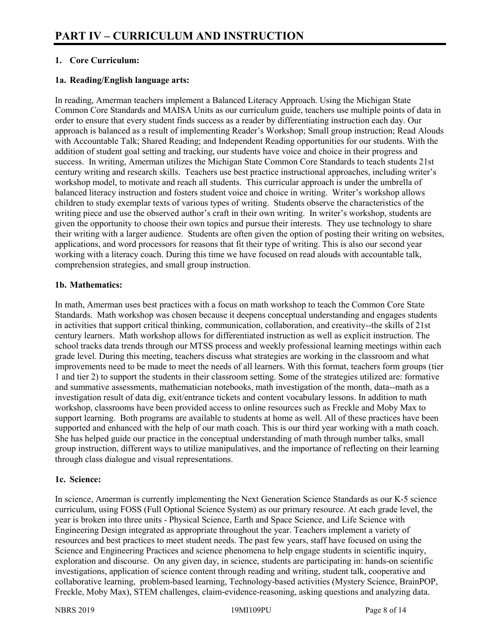# **1. Core Curriculum:**

# **1a. Reading/English language arts:**

In reading, Amerman teachers implement a Balanced Literacy Approach. Using the Michigan State Common Core Standards and MAISA Units as our curriculum guide, teachers use multiple points of data in order to ensure that every student finds success as a reader by differentiating instruction each day. Our approach is balanced as a result of implementing Reader's Workshop; Small group instruction; Read Alouds with Accountable Talk; Shared Reading; and Independent Reading opportunities for our students. With the addition of student goal setting and tracking, our students have voice and choice in their progress and success. In writing, Amerman utilizes the Michigan State Common Core Standards to teach students 21st century writing and research skills. Teachers use best practice instructional approaches, including writer's workshop model, to motivate and reach all students. This curricular approach is under the umbrella of balanced literacy instruction and fosters student voice and choice in writing. Writer's workshop allows children to study exemplar texts of various types of writing. Students observe the characteristics of the writing piece and use the observed author's craft in their own writing. In writer's workshop, students are given the opportunity to choose their own topics and pursue their interests. They use technology to share their writing with a larger audience. Students are often given the option of posting their writing on websites, applications, and word processors for reasons that fit their type of writing. This is also our second year working with a literacy coach. During this time we have focused on read alouds with accountable talk, comprehension strategies, and small group instruction.

#### **1b. Mathematics:**

In math, Amerman uses best practices with a focus on math workshop to teach the Common Core State Standards. Math workshop was chosen because it deepens conceptual understanding and engages students in activities that support critical thinking, communication, collaboration, and creativity--the skills of 21st century learners. Math workshop allows for differentiated instruction as well as explicit instruction. The school tracks data trends through our MTSS process and weekly professional learning meetings within each grade level. During this meeting, teachers discuss what strategies are working in the classroom and what improvements need to be made to meet the needs of all learners. With this format, teachers form groups (tier 1 and tier 2) to support the students in their classroom setting. Some of the strategies utilized are: formative and summative assessments, mathematician notebooks, math investigation of the month, data--math as a investigation result of data dig, exit/entrance tickets and content vocabulary lessons. In addition to math workshop, classrooms have been provided access to online resources such as Freckle and Moby Max to support learning. Both programs are available to students at home as well. All of these practices have been supported and enhanced with the help of our math coach. This is our third year working with a math coach. She has helped guide our practice in the conceptual understanding of math through number talks, small group instruction, different ways to utilize manipulatives, and the importance of reflecting on their learning through class dialogue and visual representations.

#### **1c. Science:**

In science, Amerman is currently implementing the Next Generation Science Standards as our K-5 science curriculum, using FOSS (Full Optional Science System) as our primary resource. At each grade level, the year is broken into three units - Physical Science, Earth and Space Science, and Life Science with Engineering Design integrated as appropriate throughout the year. Teachers implement a variety of resources and best practices to meet student needs. The past few years, staff have focused on using the Science and Engineering Practices and science phenomena to help engage students in scientific inquiry, exploration and discourse. On any given day, in science, students are participating in: hands-on scientific investigations, application of science content through reading and writing, student talk, cooperative and collaborative learning, problem-based learning, Technology-based activities (Mystery Science, BrainPOP, Freckle, Moby Max), STEM challenges, claim-evidence-reasoning, asking questions and analyzing data.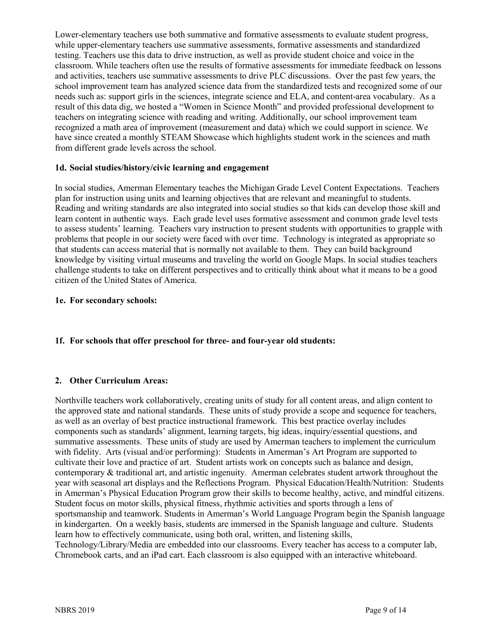Lower-elementary teachers use both summative and formative assessments to evaluate student progress, while upper-elementary teachers use summative assessments, formative assessments and standardized testing. Teachers use this data to drive instruction, as well as provide student choice and voice in the classroom. While teachers often use the results of formative assessments for immediate feedback on lessons and activities, teachers use summative assessments to drive PLC discussions. Over the past few years, the school improvement team has analyzed science data from the standardized tests and recognized some of our needs such as: support girls in the sciences, integrate science and ELA, and content-area vocabulary. As a result of this data dig, we hosted a "Women in Science Month" and provided professional development to teachers on integrating science with reading and writing. Additionally, our school improvement team recognized a math area of improvement (measurement and data) which we could support in science. We have since created a monthly STEAM Showcase which highlights student work in the sciences and math from different grade levels across the school.

# **1d. Social studies/history/civic learning and engagement**

In social studies, Amerman Elementary teaches the Michigan Grade Level Content Expectations. Teachers plan for instruction using units and learning objectives that are relevant and meaningful to students. Reading and writing standards are also integrated into social studies so that kids can develop those skill and learn content in authentic ways. Each grade level uses formative assessment and common grade level tests to assess students' learning. Teachers vary instruction to present students with opportunities to grapple with problems that people in our society were faced with over time. Technology is integrated as appropriate so that students can access material that is normally not available to them. They can build background knowledge by visiting virtual museums and traveling the world on Google Maps. In social studies teachers challenge students to take on different perspectives and to critically think about what it means to be a good citizen of the United States of America.

#### **1e. For secondary schools:**

#### **1f. For schools that offer preschool for three- and four-year old students:**

#### **2. Other Curriculum Areas:**

Northville teachers work collaboratively, creating units of study for all content areas, and align content to the approved state and national standards. These units of study provide a scope and sequence for teachers, as well as an overlay of best practice instructional framework. This best practice overlay includes components such as standards' alignment, learning targets, big ideas, inquiry/essential questions, and summative assessments. These units of study are used by Amerman teachers to implement the curriculum with fidelity. Arts (visual and/or performing): Students in Amerman's Art Program are supported to cultivate their love and practice of art. Student artists work on concepts such as balance and design, contemporary & traditional art, and artistic ingenuity. Amerman celebrates student artwork throughout the year with seasonal art displays and the Reflections Program. Physical Education/Health/Nutrition: Students in Amerman's Physical Education Program grow their skills to become healthy, active, and mindful citizens. Student focus on motor skills, physical fitness, rhythmic activities and sports through a lens of sportsmanship and teamwork. Students in Amerman's World Language Program begin the Spanish language in kindergarten. On a weekly basis, students are immersed in the Spanish language and culture. Students learn how to effectively communicate, using both oral, written, and listening skills, Technology/Library/Media are embedded into our classrooms. Every teacher has access to a computer lab, Chromebook carts, and an iPad cart. Each classroom is also equipped with an interactive whiteboard.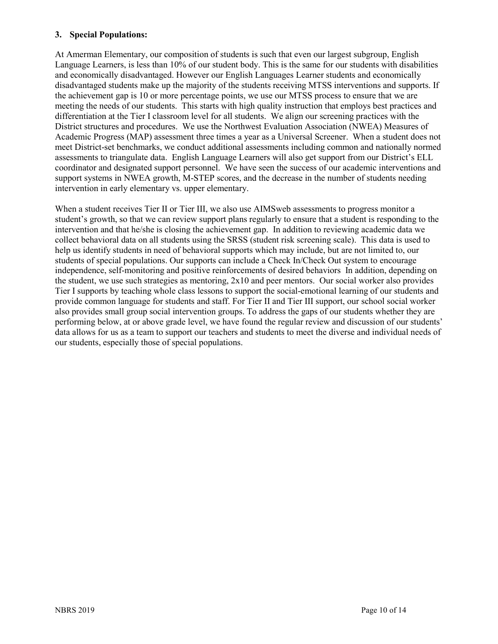## **3. Special Populations:**

At Amerman Elementary, our composition of students is such that even our largest subgroup, English Language Learners, is less than 10% of our student body. This is the same for our students with disabilities and economically disadvantaged. However our English Languages Learner students and economically disadvantaged students make up the majority of the students receiving MTSS interventions and supports. If the achievement gap is 10 or more percentage points, we use our MTSS process to ensure that we are meeting the needs of our students. This starts with high quality instruction that employs best practices and differentiation at the Tier I classroom level for all students. We align our screening practices with the District structures and procedures. We use the Northwest Evaluation Association (NWEA) Measures of Academic Progress (MAP) assessment three times a year as a Universal Screener. When a student does not meet District-set benchmarks, we conduct additional assessments including common and nationally normed assessments to triangulate data. English Language Learners will also get support from our District's ELL coordinator and designated support personnel. We have seen the success of our academic interventions and support systems in NWEA growth, M-STEP scores, and the decrease in the number of students needing intervention in early elementary vs. upper elementary.

When a student receives Tier II or Tier III, we also use AIMSweb assessments to progress monitor a student's growth, so that we can review support plans regularly to ensure that a student is responding to the intervention and that he/she is closing the achievement gap. In addition to reviewing academic data we collect behavioral data on all students using the SRSS (student risk screening scale). This data is used to help us identify students in need of behavioral supports which may include, but are not limited to, our students of special populations. Our supports can include a Check In/Check Out system to encourage independence, self-monitoring and positive reinforcements of desired behaviors In addition, depending on the student, we use such strategies as mentoring, 2x10 and peer mentors. Our social worker also provides Tier I supports by teaching whole class lessons to support the social-emotional learning of our students and provide common language for students and staff. For Tier II and Tier III support, our school social worker also provides small group social intervention groups. To address the gaps of our students whether they are performing below, at or above grade level, we have found the regular review and discussion of our students' data allows for us as a team to support our teachers and students to meet the diverse and individual needs of our students, especially those of special populations.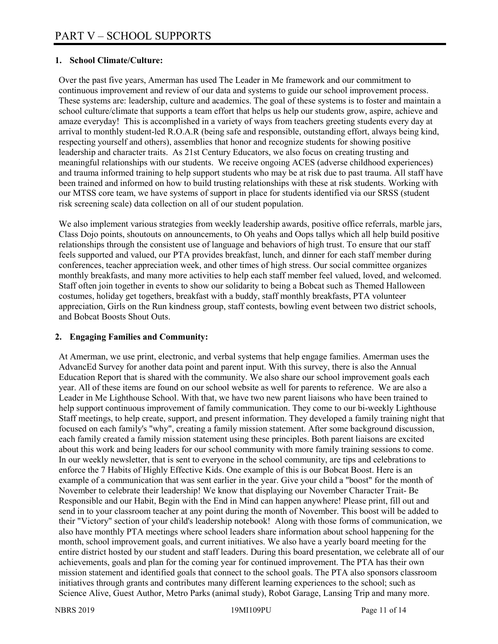# **1. School Climate/Culture:**

Over the past five years, Amerman has used The Leader in Me framework and our commitment to continuous improvement and review of our data and systems to guide our school improvement process. These systems are: leadership, culture and academics. The goal of these systems is to foster and maintain a school culture/climate that supports a team effort that helps us help our students grow, aspire, achieve and amaze everyday! This is accomplished in a variety of ways from teachers greeting students every day at arrival to monthly student-led R.O.A.R (being safe and responsible, outstanding effort, always being kind, respecting yourself and others), assemblies that honor and recognize students for showing positive leadership and character traits. As 21st Century Educators, we also focus on creating trusting and meaningful relationships with our students. We receive ongoing ACES (adverse childhood experiences) and trauma informed training to help support students who may be at risk due to past trauma. All staff have been trained and informed on how to build trusting relationships with these at risk students. Working with our MTSS core team, we have systems of support in place for students identified via our SRSS (student risk screening scale) data collection on all of our student population.

We also implement various strategies from weekly leadership awards, positive office referrals, marble jars, Class Dojo points, shoutouts on announcements, to Oh yeahs and Oops tallys which all help build positive relationships through the consistent use of language and behaviors of high trust. To ensure that our staff feels supported and valued, our PTA provides breakfast, lunch, and dinner for each staff member during conferences, teacher appreciation week, and other times of high stress. Our social committee organizes monthly breakfasts, and many more activities to help each staff member feel valued, loved, and welcomed. Staff often join together in events to show our solidarity to being a Bobcat such as Themed Halloween costumes, holiday get togethers, breakfast with a buddy, staff monthly breakfasts, PTA volunteer appreciation, Girls on the Run kindness group, staff contests, bowling event between two district schools, and Bobcat Boosts Shout Outs.

#### **2. Engaging Families and Community:**

At Amerman, we use print, electronic, and verbal systems that help engage families. Amerman uses the AdvancEd Survey for another data point and parent input. With this survey, there is also the Annual Education Report that is shared with the community. We also share our school improvement goals each year. All of these items are found on our school website as well for parents to reference. We are also a Leader in Me Lighthouse School. With that, we have two new parent liaisons who have been trained to help support continuous improvement of family communication. They come to our bi-weekly Lighthouse Staff meetings, to help create, support, and present information. They developed a family training night that focused on each family's "why", creating a family mission statement. After some background discussion, each family created a family mission statement using these principles. Both parent liaisons are excited about this work and being leaders for our school community with more family training sessions to come. In our weekly newsletter, that is sent to everyone in the school community, are tips and celebrations to enforce the 7 Habits of Highly Effective Kids. One example of this is our Bobcat Boost. Here is an example of a communication that was sent earlier in the year. Give your child a "boost" for the month of November to celebrate their leadership! We know that displaying our November Character Trait- Be Responsible and our Habit, Begin with the End in Mind can happen anywhere! Please print, fill out and send in to your classroom teacher at any point during the month of November. This boost will be added to their "Victory" section of your child's leadership notebook! Along with those forms of communication, we also have monthly PTA meetings where school leaders share information about school happening for the month, school improvement goals, and current initiatives. We also have a yearly board meeting for the entire district hosted by our student and staff leaders. During this board presentation, we celebrate all of our achievements, goals and plan for the coming year for continued improvement. The PTA has their own mission statement and identified goals that connect to the school goals. The PTA also sponsors classroom initiatives through grants and contributes many different learning experiences to the school; such as Science Alive, Guest Author, Metro Parks (animal study), Robot Garage, Lansing Trip and many more.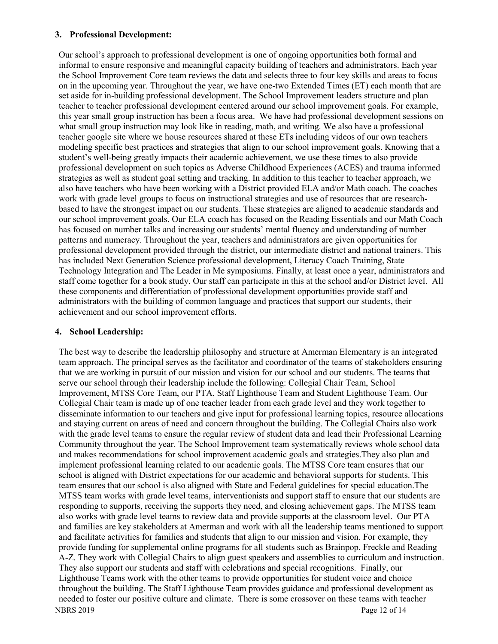#### **3. Professional Development:**

Our school's approach to professional development is one of ongoing opportunities both formal and informal to ensure responsive and meaningful capacity building of teachers and administrators. Each year the School Improvement Core team reviews the data and selects three to four key skills and areas to focus on in the upcoming year. Throughout the year, we have one-two Extended Times (ET) each month that are set aside for in-building professional development. The School Improvement leaders structure and plan teacher to teacher professional development centered around our school improvement goals. For example, this year small group instruction has been a focus area. We have had professional development sessions on what small group instruction may look like in reading, math, and writing. We also have a professional teacher google site where we house resources shared at these ETs including videos of our own teachers modeling specific best practices and strategies that align to our school improvement goals. Knowing that a student's well-being greatly impacts their academic achievement, we use these times to also provide professional development on such topics as Adverse Childhood Experiences (ACES) and trauma informed strategies as well as student goal setting and tracking. In addition to this teacher to teacher approach, we also have teachers who have been working with a District provided ELA and/or Math coach. The coaches work with grade level groups to focus on instructional strategies and use of resources that are researchbased to have the strongest impact on our students. These strategies are aligned to academic standards and our school improvement goals. Our ELA coach has focused on the Reading Essentials and our Math Coach has focused on number talks and increasing our students' mental fluency and understanding of number patterns and numeracy. Throughout the year, teachers and administrators are given opportunities for professional development provided through the district, our intermediate district and national trainers. This has included Next Generation Science professional development, Literacy Coach Training, State Technology Integration and The Leader in Me symposiums. Finally, at least once a year, administrators and staff come together for a book study. Our staff can participate in this at the school and/or District level. All these components and differentiation of professional development opportunities provide staff and administrators with the building of common language and practices that support our students, their achievement and our school improvement efforts.

#### **4. School Leadership:**

NBRS 2019 Page 12 of 14 The best way to describe the leadership philosophy and structure at Amerman Elementary is an integrated team approach. The principal serves as the facilitator and coordinator of the teams of stakeholders ensuring that we are working in pursuit of our mission and vision for our school and our students. The teams that serve our school through their leadership include the following: Collegial Chair Team, School Improvement, MTSS Core Team, our PTA, Staff Lighthouse Team and Student Lighthouse Team. Our Collegial Chair team is made up of one teacher leader from each grade level and they work together to disseminate information to our teachers and give input for professional learning topics, resource allocations and staying current on areas of need and concern throughout the building. The Collegial Chairs also work with the grade level teams to ensure the regular review of student data and lead their Professional Learning Community throughout the year. The School Improvement team systematically reviews whole school data and makes recommendations for school improvement academic goals and strategies.They also plan and implement professional learning related to our academic goals. The MTSS Core team ensures that our school is aligned with District expectations for our academic and behavioral supports for students. This team ensures that our school is also aligned with State and Federal guidelines for special education.The MTSS team works with grade level teams, interventionists and support staff to ensure that our students are responding to supports, receiving the supports they need, and closing achievement gaps. The MTSS team also works with grade level teams to review data and provide supports at the classroom level. Our PTA and families are key stakeholders at Amerman and work with all the leadership teams mentioned to support and facilitate activities for families and students that align to our mission and vision. For example, they provide funding for supplemental online programs for all students such as Brainpop, Freckle and Reading A-Z. They work with Collegial Chairs to align guest speakers and assemblies to curriculum and instruction. They also support our students and staff with celebrations and special recognitions. Finally, our Lighthouse Teams work with the other teams to provide opportunities for student voice and choice throughout the building. The Staff Lighthouse Team provides guidance and professional development as needed to foster our positive culture and climate. There is some crossover on these teams with teacher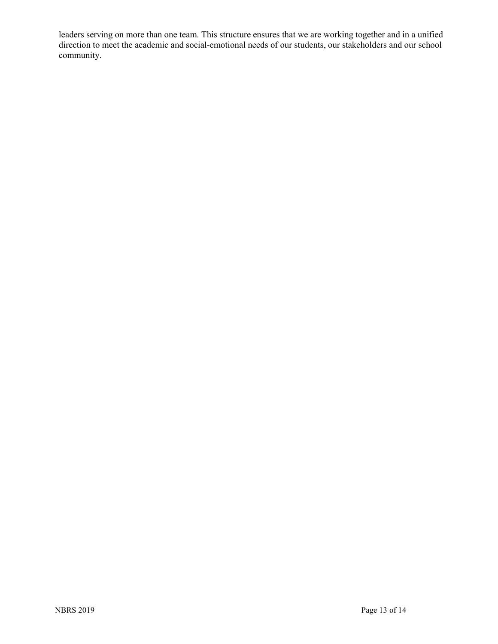leaders serving on more than one team. This structure ensures that we are working together and in a unified direction to meet the academic and social-emotional needs of our students, our stakeholders and our school community.